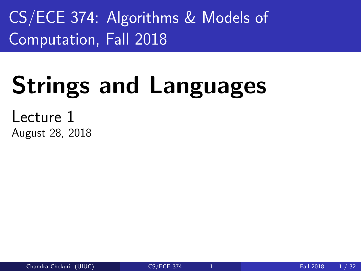<span id="page-0-0"></span>CS/ECE 374: Algorithms & Models of Computation, Fall 2018

# Strings and Languages

Lecture 1 August 28, 2018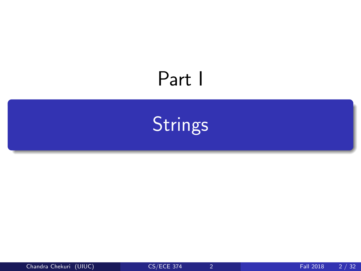## <span id="page-1-0"></span>Part I

**[Strings](#page-1-0)**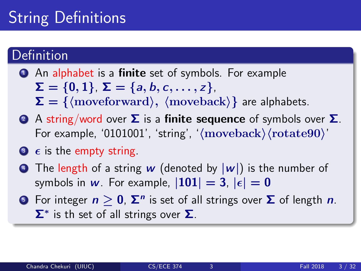## String Definitions

### Definition

- **1** An alphabet is a **finite** set of symbols. For example  $\Sigma = \{0, 1\}, \Sigma = \{a, b, c, \ldots, z\},\$  $\Sigma = \{$  (moveforward),  $\langle$  moveback) are alphabets.
- 2 A string/word over  $\Sigma$  is a finite sequence of symbols over  $\Sigma$ . For example, '0101001', 'string', ' $\langle$ moveback $\rangle$  $\langle$ rotate90 $\rangle'$
- $\bullet$   $\epsilon$  is the empty string.
- **•** The length of a string w (denoted by  $|w|$ ) is the number of symbols in w. For example,  $|101| = 3$ ,  $|\epsilon| = 0$
- 5 For integer  $n\geq 0$ ,  $\mathbf{\Sigma}^n$  is set of all strings over  $\mathbf \Sigma$  of length  $n.$  $\Sigma^*$  is th set of all strings over  $\Sigma$ .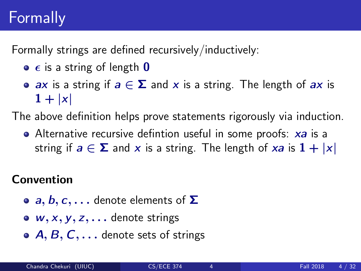## Formally

Formally strings are defined recursively/inductively:

- $\bullet$   $\epsilon$  is a string of length **0**
- ax is a string if  $a \in \Sigma$  and x is a string. The length of ax is  $1 + |x|$

The above definition helps prove statements rigorously via induction.

• Alternative recursive defintion useful in some proofs: xa is a string if  $a \in \Sigma$  and x is a string. The length of xa is  $1 + |x|$ 

### Convention

- **a, b, c,...** denote elements of  $\Sigma$
- $\bullet$  w, x, y, z,  $\bullet$  denote strings
- $\bullet$  A, B, C,  $\dots$  denote sets of strings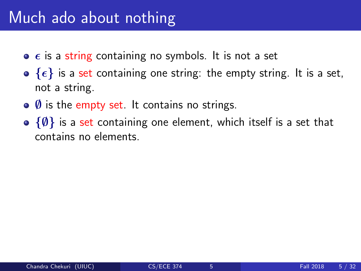### Much ado about nothing

- $\bullet$   $\epsilon$  is a string containing no symbols. It is not a set
- $\bullet$  { $\epsilon$ } is a set containing one string: the empty string. It is a set, not a string.
- $\bullet$  Ø is the empty set. It contains no strings.
- $\{\emptyset\}$  is a set containing one element, which itself is a set that contains no elements.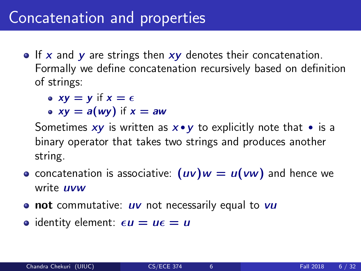### Concatenation and properties

 $\bullet$  If x and y are strings then  $xy$  denotes their concatenation. Formally we define concatenation recursively based on definition of strings:

• 
$$
xy = y
$$
 if  $x = \epsilon$ 

• 
$$
xy = a(wy)
$$
 if  $x = aw$ 

Sometimes  $xy$  is written as  $x \cdot y$  to explicitly note that  $\cdot$  is a binary operator that takes two strings and produces another string.

- concatenation is associative:  $(uv)w = u(vw)$  and hence we write **uvw**
- $\bullet$  not commutative:  $uv$  not necessarily equal to  $vu$
- identity element:  $\epsilon u = u\epsilon = u$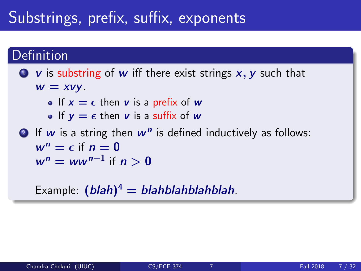## Substrings, prefix, suffix, exponents

### Definition

### $\bullet\mathbf{v}$  is substring of w iff there exist strings  $x, y$  such that  $w = xvy$ .

- If  $x = \epsilon$  then v is a prefix of w
- If  $y = \epsilon$  then v is a suffix of w
- **2** If  $w$  is a string then  $w^n$  is defined inductively as follows:  $w^n = \epsilon$  if  $n = 0$  $w^n = ww^{n-1}$  if  $n > 0$

Example:  $(blah)^4 = blahblahblahblah$ .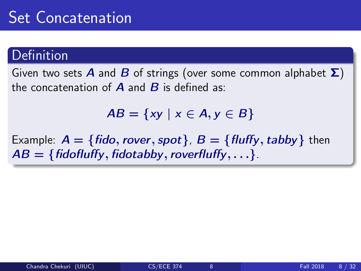### Definition

Given two sets **A** and **B** of strings (over some common alphabet  $\Sigma$ ) the concatenation of  $\bf{A}$  and  $\bf{B}$  is defined as:

 $AB = \{xy \mid x \in A, y \in B\}$ 

Example:  $A = \{fido, rover, spot\}$ ,  $B = \{fluffy, tabby\}$  then  $AB = \{fiodfulffy, fidotabby, roverfluffy, \ldots\}.$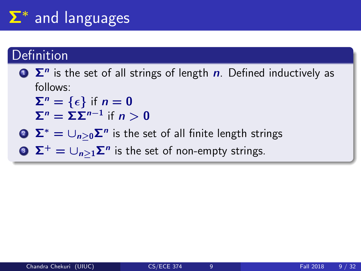## Σ<sup>∗</sup> and languages

### Definition

 $\sum$   $\sum$ <sup>n</sup> is the set of all strings of length n. Defined inductively as follows:

 $\Sigma^n = \{\epsilon\}$  if  $n = 0$  $\Sigma^n = \Sigma \Sigma^{n-1}$  if  $n > 0$ 

 $\sum^* = \cup_{n\geq 0} \mathsf{\Sigma}^n$  is the set of all finite length strings

3  $\Sigma^+ = \cup_{n \geq 1} \Sigma^n$  is the set of non-empty strings.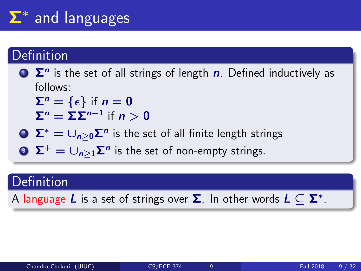## Σ<sup>∗</sup> and languages

### Definition

 $\sum$   $\sum$ <sup>n</sup> is the set of all strings of length n. Defined inductively as follows:

 $\Sigma^n = \{\epsilon\}$  if  $n = 0$  $\Sigma^n = \Sigma \Sigma^{n-1}$  if  $n > 0$ 

 $\sum^* = \cup_{n\geq 0} \mathsf{\Sigma}^n$  is the set of all finite length strings

3  $\Sigma^+ = \cup_{n \geq 1} \Sigma^n$  is the set of non-empty strings.

### **Definition**

A language  $L$  is a set of strings over  $\boldsymbol{\Sigma}$ . In other words  $L \subseteq \boldsymbol{\Sigma}^*$ .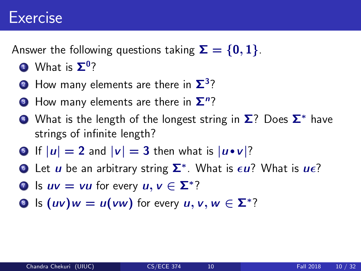### Exercise

Answer the following questions taking  $\Sigma = \{0, 1\}$ .

- $\mathbf 1$  What is  $\mathbf \Sigma^0$ ?
- **2** How many elements are there in  $\Sigma^3$ ?
- $\bullet$  How many elements are there in  $\mathbf{\Sigma}^n?$
- What is the length of the longest string in  $\Sigma$ ? Does  $\Sigma^*$  have strings of infinite length?
- **5** If  $|u| = 2$  and  $|v| = 3$  then what is  $|u \cdot v|$ ?
- **D** Let  $\boldsymbol{u}$  be an arbitrary string  $\boldsymbol{\Sigma}^*$ . What is  $\boldsymbol{\epsilon} \boldsymbol{u}$ ? What is  $\boldsymbol{u} \boldsymbol{\epsilon}$ ?
- **D** Is  $uv = vu$  for every  $u, v \in \mathbb{Z}^*$ ?
- **8** Is  $(uv)w = u(vw)$  for every  $u, v, w \in \Sigma^*$ ?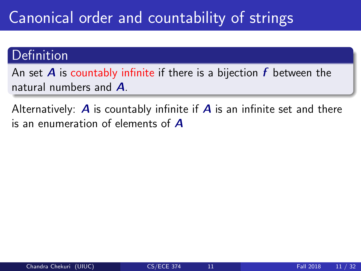## Canonical order and countability of strings

### **Definition**

An set  $\bm{A}$  is countably infinite if there is a bijection  $\bm{f}$  between the natural numbers and A.

Alternatively:  $\bm{A}$  is countably infinite if  $\bm{A}$  is an infinite set and there is an enumeration of elements of A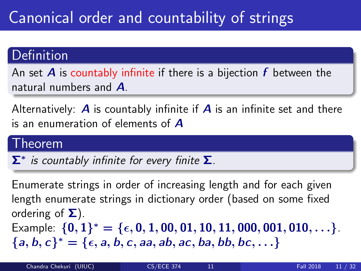## Canonical order and countability of strings

### Definition

An set **A** is countably infinite if there is a bijection  $f$  between the natural numbers and A.

Alternatively:  $\bm{A}$  is countably infinite if  $\bm{A}$  is an infinite set and there is an enumeration of elements of A

#### Theorem

 $\Sigma^*$  is countably infinite for every finite  $\Sigma$ .

Enumerate strings in order of increasing length and for each given length enumerate strings in dictionary order (based on some fixed ordering of  $\Sigma$ ). Example:  $\{0,1\}^* = \{\epsilon, 0, 1, 00, 01, 10, 11, 000, 001, 010, \ldots\}$ .  ${a, b, c}^* = {\epsilon, a, b, c, aa, ab, ac, ba, bb, bc, ...}$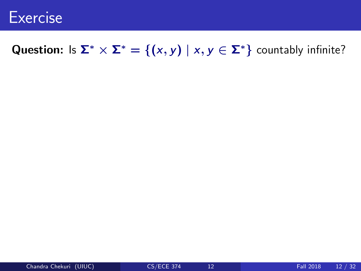

### Question: Is  $\Sigma^* \times \Sigma^* = \{(x, y) \mid x, y \in \Sigma^*\}$  countably infinite?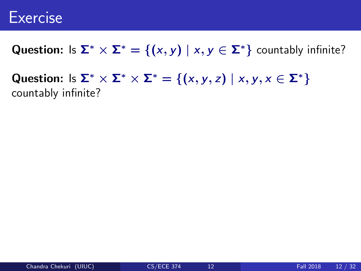### Exercise

Question: Is  $\Sigma^* \times \Sigma^* = \{(x, y) \mid x, y \in \Sigma^*\}$  countably infinite?

Question: Is  $\Sigma^* \times \Sigma^* \times \Sigma^* = \{(x, y, z) \mid x, y, x \in \Sigma^*\}$ countably infinite?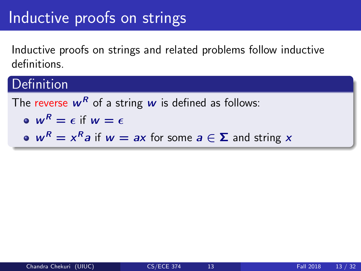### Inductive proofs on strings

Inductive proofs on strings and related problems follow inductive definitions.

### **Definition**

The reverse  $w^R$  of a string w is defined as follows:  $\omega W^R = \epsilon$  if  $w = \epsilon$  $w^R = x^R a$  if  $w = ax$  for some  $a \in \Sigma$  and string x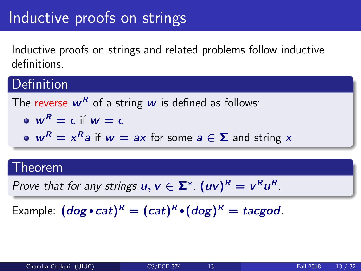### Inductive proofs on strings

Inductive proofs on strings and related problems follow inductive definitions.

### Definition

The reverse 
$$
w^R
$$
 of a string  $w$  is defined as follows:  
\n•  $w^R = \epsilon$  if  $w = \epsilon$   
\n•  $w^R = x^R a$  if  $w = ax$  for some  $a \in \Sigma$  and string  $x$ 

#### Theorem

Prove that for any strings  $u, v \in \Sigma^*$ ,  $(uv)^R = v^Ru^R$ .

Example:  $(dog \cdot cat)^R = (cat)^R \cdot (dog)^R = tacgod$ .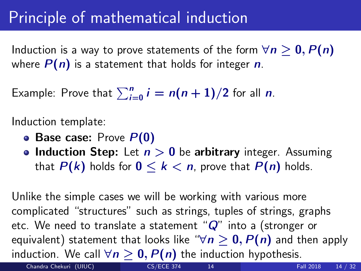## Principle of mathematical induction

Induction is a way to prove statements of the form  $\forall n \geq 0, P(n)$ where  $P(n)$  is a statement that holds for integer n.

Example: Prove that  $\sum_{i=0}^n i = n(n+1)/2$  for all  $n$ .

Induction template:

- Base case: Prove  $P(0)$
- Induction Step: Let  $n > 0$  be arbitrary integer. Assuming that  $P(k)$  holds for  $0 \le k \le n$ , prove that  $P(n)$  holds.

Unlike the simple cases we will be working with various more complicated "structures" such as strings, tuples of strings, graphs etc. We need to translate a statement " $Q$ " into a (stronger or equivalent) statement that looks like " $\forall n \geq 0$ ,  $P(n)$  and then apply induction. We call  $\forall n \geq 0$ ,  $P(n)$  the induction hypothesis.

Chandra Chekuri (UIUC) [CS/ECE 374](#page-0-0) 14 Tall 2018 14 / 32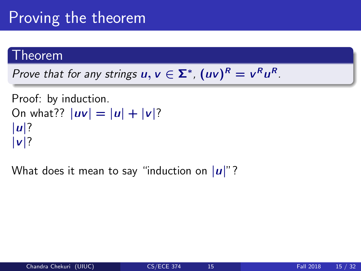## Proving the theorem

#### Theorem

Prove that for any strings  $u, v \in \Sigma^*$ ,  $(uv)^R = v^Ru^R$ .

```
Proof: by induction.
On what?? |uv| = |u| + |v|?
|u|?
|v|?
```
What does it mean to say "induction on  $|u|$ "?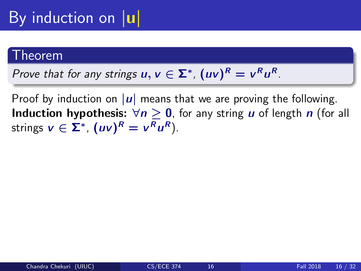## By induction on  $|u|$

#### Theorem

Prove that for any strings  $u, v \in \Sigma^*$ ,  $(uv)^R = v^Ru^R$ .

Proof by induction on  $|u|$  means that we are proving the following. **Induction hypothesis:**  $\forall n \geq 0$ , for any string *u* of length *n* (for all strings  $v \in \Sigma^*$ ,  $(uv)^R = v^Ru^R$ ).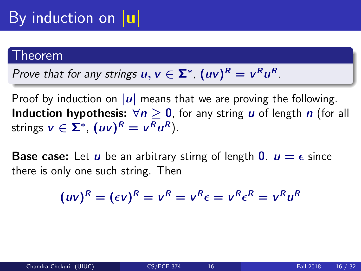#### Theorem

Prove that for any strings 
$$
u, v \in \Sigma^*
$$
,  $(uv)^R = v^R u^R$ .

Proof by induction on  $|u|$  means that we are proving the following. **Induction hypothesis:**  $\forall n \geq 0$ , for any string *u* of length *n* (for all strings  $v \in \Sigma^*$ ,  $(uv)^R = v^Ru^R$ ).

**Base case:** Let *u* be an arbitrary stirng of length **0**.  $u = \epsilon$  since there is only one such string. Then

$$
(uv)^R = (\epsilon v)^R = v^R = v^R \epsilon = v^R \epsilon^R = v^R u^R
$$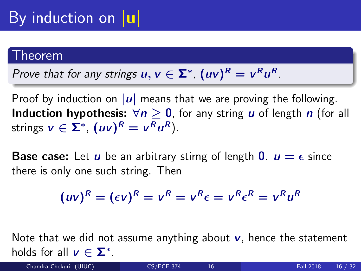#### Theorem

Prove that for any strings 
$$
u, v \in \Sigma^*
$$
,  $(uv)^R = v^R u^R$ .

Proof by induction on  $|u|$  means that we are proving the following. **Induction hypothesis:**  $\forall n \geq 0$ , for any string *u* of length *n* (for all strings  $v \in \Sigma^*$ ,  $(uv)^R = v^Ru^R$ ).

**Base case:** Let *u* be an arbitrary stirng of length **0**.  $u = \epsilon$  since there is only one such string. Then

$$
(uv)^R = (\epsilon v)^R = v^R = v^R \epsilon = v^R \epsilon^R = v^R u^R
$$

Note that we did not assume anything about  $\nu$ , hence the statement holds for all  $v \in \Sigma^*$ .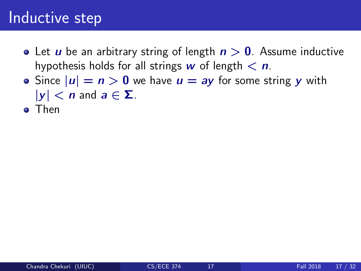- Let *u* be an arbitrary string of length  $n > 0$ . Assume inductive hypothesis holds for all strings w of length  $\langle n \rangle$ .
- Since  $|u| = n > 0$  we have  $u = ay$  for some string y with  $|y| < n$  and  $a \in \Sigma$ .
- **o** Then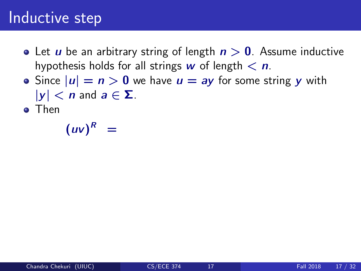- Let *u* be an arbitrary string of length  $n > 0$ . Assume inductive hypothesis holds for all strings w of length  $\langle n \rangle$ .
- Since  $|u| = n > 0$  we have  $u = ay$  for some string y with  $|y| < n$  and  $a \in \Sigma$ .
- **o** Then

 $(uv)^R =$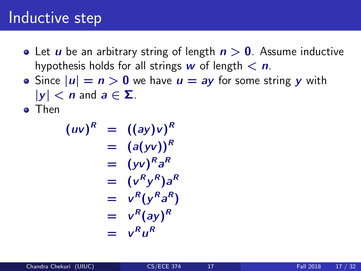- Let *u* be an arbitrary string of length  $n > 0$ . Assume inductive hypothesis holds for all strings w of length  $\langle n \rangle$ .
- Since  $|u| = n > 0$  we have  $u = ay$  for some string y with  $|y| < n$  and  $a \in \Sigma$ .

**o** Then

$$
(uv)^R = ((ay)v)^R
$$
  
=  $(a(yv))^R$   
=  $(yv)^R a^R$   
=  $(v^R y^R) a^R$   
=  $v^R (y^R a^R)$   
=  $v^R (ay)^R$   
=  $v^R u^R$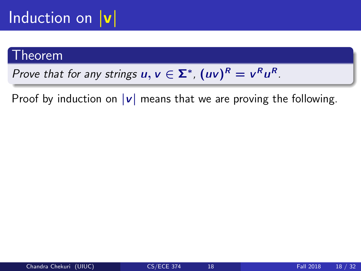## Induction on  $|v|$

#### Theorem

Prove that for any strings  $u, v \in \Sigma^*$ ,  $(uv)^R = v^Ru^R$ .

Proof by induction on  $|v|$  means that we are proving the following.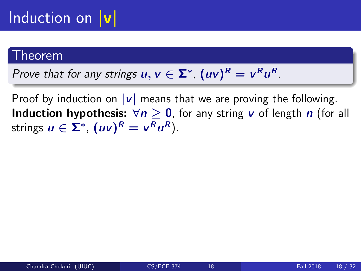## Induction on  $|v|$

#### Theorem

Prove that for any strings  $u, v \in \Sigma^*$ ,  $(uv)^R = v^Ru^R$ .

Proof by induction on  $|v|$  means that we are proving the following. **Induction hypothesis:**  $\forall n \geq 0$ , for any string v of length n (for all strings  $u \in \Sigma^*$ ,  $(uv)^R = v^Ru^R$ ).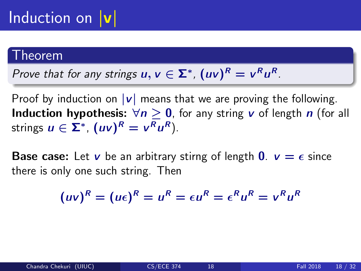## Induction on  $|v|$

#### .<br>heorem

Prove that for any strings 
$$
u, v \in \Sigma^*
$$
,  $(uv)^R = v^R u^R$ .

Proof by induction on  $|v|$  means that we are proving the following. **Induction hypothesis:**  $\forall n \geq 0$ , for any string v of length n (for all strings  $u \in \Sigma^*$ ,  $(uv)^R = v^Ru^R$ ).

**Base case:** Let v be an arbitrary stirng of length  $\mathbf{0}$ .  $v = \epsilon$  since there is only one such string. Then

$$
(uv)^R = (u\epsilon)^R = u^R = \epsilon u^R = \epsilon^R u^R = v^R u^R
$$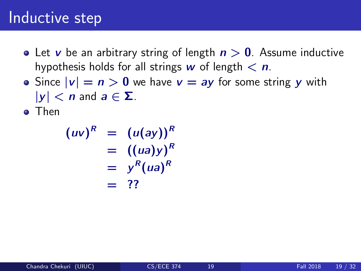- Let v be an arbitrary string of length  $n > 0$ . Assume inductive hypothesis holds for all strings w of length  $\langle n \rangle$ .
- Since  $|v| = n > 0$  we have  $v = ay$  for some string y with  $|y| < n$  and  $a \in \Sigma$ .
- **o** Then

$$
(uv)^R = (u(ay))^R
$$
  
= ((ua)y)<sup>R</sup>  
= y<sup>R</sup>(ua)<sup>R</sup>  
= ??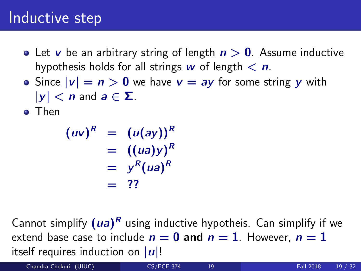- Let v be an arbitrary string of length  $n > 0$ . Assume inductive hypothesis holds for all strings w of length  $\langle n \rangle$ .
- Since  $|v| = n > 0$  we have  $v = ay$  for some string y with  $|y| < n$  and  $a \in \Sigma$ .
- **o** Then

$$
(uv)^R = (u(ay))^R
$$
  
= ((ua)y)<sup>R</sup>  
= y<sup>R</sup>(ua)<sup>R</sup>  
= ??

Cannot simplify  $(ua)^R$  using inductive hypotheis. Can simplify if we extend base case to include  $n = 0$  and  $n = 1$ . However,  $n = 1$ itself requires induction on  $|u|!$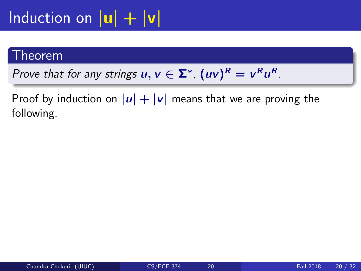## Induction on  $|\mathbf{u}| + |\mathbf{v}|$

#### Theorem

Prove that for any strings  $u, v \in \Sigma^*$ ,  $(uv)^R = v^Ru^R$ .

Proof by induction on  $|u| + |v|$  means that we are proving the following.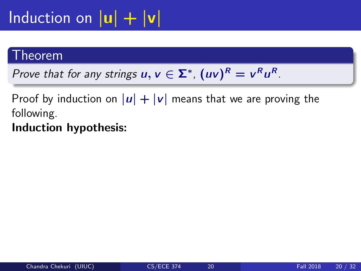## Induction on  $|\mathbf{u}| + |\mathbf{v}|$

#### Theorem

Prove that for any strings  $u, v \in \Sigma^*$ ,  $(uv)^R = v^Ru^R$ .

Proof by induction on  $|u| + |v|$  means that we are proving the following.

Induction hypothesis: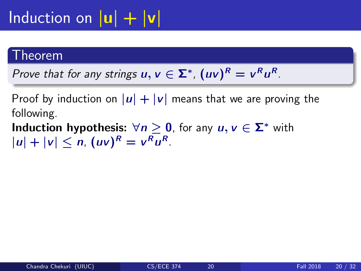## Induction on  $|u| + |v|$

#### Theorem

Prove that for any strings  $u, v \in \Sigma^*$ ,  $(uv)^R = v^Ru^R$ .

Proof by induction on  $|u| + |v|$  means that we are proving the following.

**Induction hypothesis:**  $\forall n \geq 0$ , for any  $u, v \in \Sigma^*$  with  $|u| + |v| \le n$ ,  $(uv)^R = v^R u^R$ .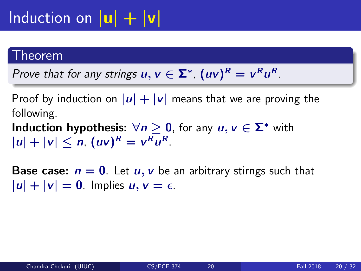## Induction on  $|u| + |v|$

#### Theorem

Prove that for any strings  $u, v \in \Sigma^*$ ,  $(uv)^R = v^Ru^R$ .

Proof by induction on  $|u| + |v|$  means that we are proving the following.

**Induction hypothesis:**  $\forall n \geq 0$ , for any  $u, v \in \Sigma^*$  with  $|u| + |v| \le n$ ,  $(uv)^R = v^R u^R$ .

**Base case:**  $n = 0$ . Let  $u, v$  be an arbitrary stirngs such that  $|u| + |v| = 0$ . Implies  $u, v = \epsilon$ .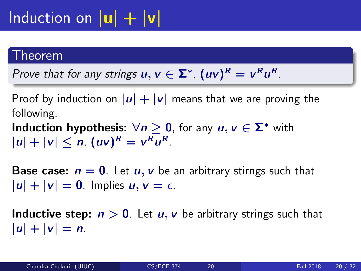## Induction on  $|u| + |v|$

#### Theorem

Prove that for any strings  $u, v \in \Sigma^*$ ,  $(uv)^R = v^Ru^R$ .

Proof by induction on  $|u| + |v|$  means that we are proving the following.

**Induction hypothesis:**  $\forall n \geq 0$ , for any  $u, v \in \Sigma^*$  with  $|u| + |v| \le n$ ,  $(uv)^R = v^R u^R$ .

**Base case:**  $n = 0$ . Let  $u, v$  be an arbitrary stirngs such that  $|u| + |v| = 0$ . Implies  $u, v = \epsilon$ .

**Inductive step:**  $n > 0$ . Let  $u, v$  be arbitrary strings such that  $|u| + |v| = n$ .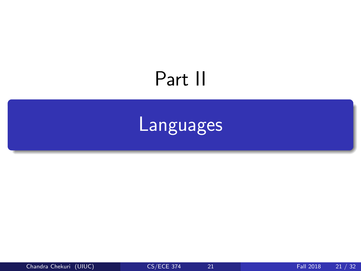## <span id="page-35-0"></span>Part II

## **[Languages](#page-35-0)**

Chandra Chekuri (UIUC) [CS/ECE 374](#page-0-0) 21 Fall 2018 21 / 32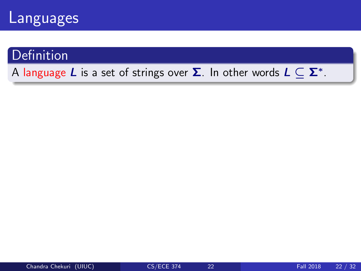

### **Definition**

#### A language  $L$  is a set of strings over  $\boldsymbol{\Sigma}.$  In other words  $L \subseteq \boldsymbol{\Sigma}^*.$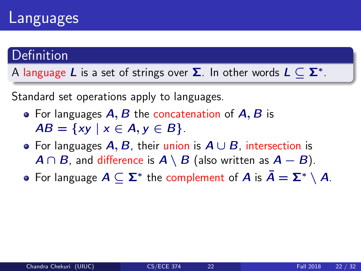### Languages

### Definition

A language  $L$  is a set of strings over  $\boldsymbol{\Sigma}.$  In other words  $L \subseteq \boldsymbol{\Sigma}^*.$ 

Standard set operations apply to languages.

- For languages  $A, B$  the concatenation of  $A, B$  is  $AB = \{xy \mid x \in A, y \in B\}.$
- For languages  $A, B$ , their union is  $A \cup B$ , intersection is  $A \cap B$ , and difference is  $A \setminus B$  (also written as  $A - B$ ).
- For language  $A \subseteq \Sigma^*$  the complement of  $A$  is  $\bar{A} = \Sigma^* \setminus A$ .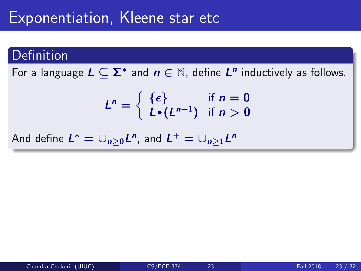### Exponentiation, Kleene star etc

### Definition

For a language  $L \subseteq \Sigma^*$  and  $n \in \mathbb{N}$ , define  $L^n$  inductively as follows.

$$
L^n = \left\{ \begin{array}{ll} \{ \epsilon \} & \text{if } n = 0 \\ L \bullet (L^{n-1}) & \text{if } n > 0 \end{array} \right.
$$

And define  $L^* = \cup_{n\geq 0} L^n$ , and  $L^+ = \cup_{n\geq 1} L^n$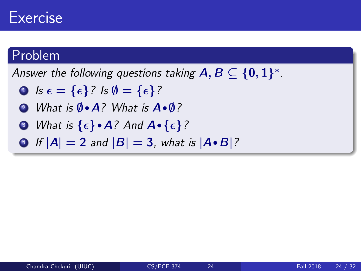### Exercise

### Problem

Answer the following questions taking  $\textsf{A},\textsf{B}\subseteq\{\textsf{0},\textsf{1}\}^*$  .

- **1** Is  $\epsilon = {\epsilon}$ ? Is  $\emptyset = {\epsilon}$ ?
- <sup>2</sup> What is ∅·<sup>A</sup>? What is <sup>A</sup>·∅?
- $\bullet$  What is  $\{\epsilon\}\bullet A$ ? And  $A\bullet \{\epsilon\}$ ?
- If  $|A| = 2$  and  $|B| = 3$ , what is  $|A \cdot B|$ ?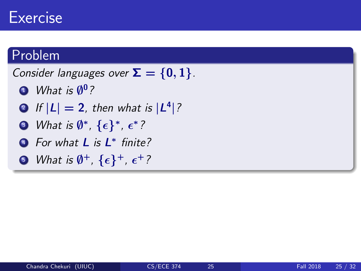### Exercise

### Problem

Consider languages over  $\Sigma = \{0, 1\}$ .

- $\blacksquare$  What is  $\emptyset^0$  ?
- $2$  If  $|L| = 2$ , then what is  $|L^4|$  ?
- $\bullet$  What is  $\emptyset^*, \, \{\epsilon\}^*, \, \epsilon^*$  ?
- <sup>4</sup> For what **L** is **L**<sup>\*</sup> finite?
- $\bullet$  What is  $\emptyset^+$ ,  $\{\epsilon\}^+$ ,  $\epsilon^+$  ?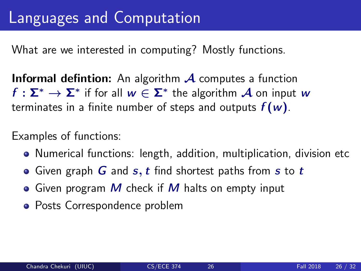What are we interested in computing? Mostly functions.

**Informal defintion:** An algorithm  $\mathcal A$  computes a function  $f:\mathsf{\Sigma}^{*}\to\mathsf{\Sigma}^{*}$  if for all  $w\in\mathsf{\Sigma}^{*}$  the algorithm  $\mathcal A$  on input  $w$ terminates in a finite number of steps and outputs  $f(w)$ .

Examples of functions:

- Numerical functions: length, addition, multiplication, division etc
- Given graph  $G$  and  $s, t$  find shortest paths from  $s$  to  $t$
- Given program  $M$  check if  $M$  halts on empty input
- Posts Correspondence problem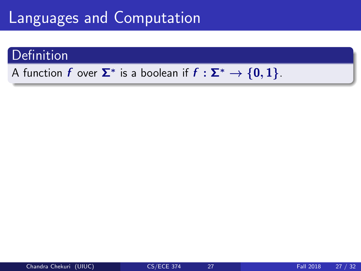### **Definition**

### A function  $f$  over  $\mathbf{\Sigma}^*$  is a boolean if  $f: \mathbf{\Sigma}^* \to \{ \mathbf{0}, \mathbf{1} \}.$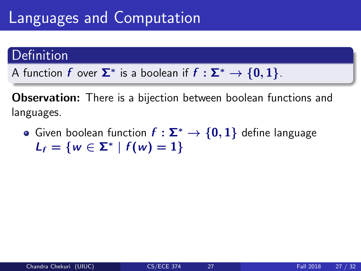### Definition

A function  $f$  over  $\mathbf{\Sigma}^*$  is a boolean if  $f: \mathbf{\Sigma}^* \to \{ \mathbf{0}, \mathbf{1} \}.$ 

Observation: There is a bijection between boolean functions and languages.

• Given boolean function  $f : \Sigma^* \to \{0,1\}$  define language  $L_f = \{ w \in \Sigma^* \mid f(w) = 1 \}$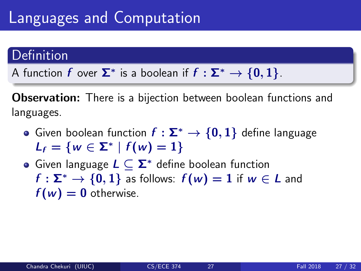### Definition

A function  $f$  over  $\mathbf{\Sigma}^*$  is a boolean if  $f: \mathbf{\Sigma}^* \to \{ \mathbf{0}, \mathbf{1} \}.$ 

**Observation:** There is a bijection between boolean functions and languages.

- Given boolean function  $f : \Sigma^* \to \{0,1\}$  define language  $L_f = \{ w \in \Sigma^* \mid f(w) = 1 \}$
- Given language  $L \subset \Sigma^*$  define boolean function  $f : \Sigma^* \to \{0, 1\}$  as follows:  $f(w) = 1$  if  $w \in L$  and  $f(w) = 0$  otherwise.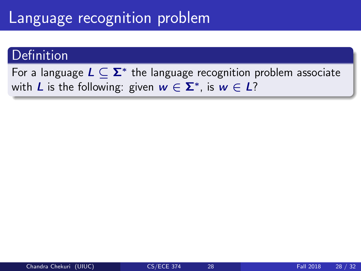### Language recognition problem

### Definition

For a language  $L \subseteq \mathbf{\Sigma}^*$  the language recognition problem associate with  $L$  is the following: given  $w \in \Sigma^*$ , is  $w \in L$ ?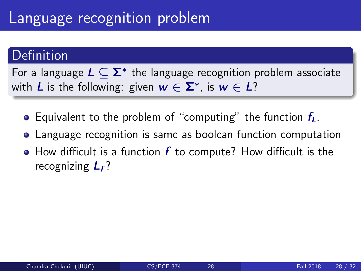### Language recognition problem

### Definition

For a language  $L \subseteq \mathbf{\Sigma}^*$  the language recognition problem associate with  $L$  is the following: given  $w \in \Sigma^*$ , is  $w \in L$ ?

- **•** Equivalent to the problem of "computing" the function  $f_L$ .
- Language recognition is same as boolean function computation
- $\bullet$  How difficult is a function  $f$  to compute? How difficult is the recognizing  $L_f$ ?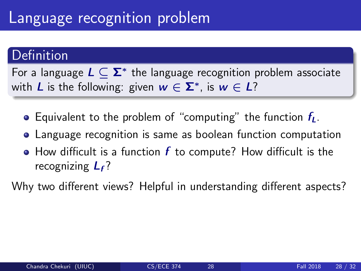### Language recognition problem

### **Definition**

For a language  $L \subseteq \mathbf{\Sigma}^*$  the language recognition problem associate with  $L$  is the following: given  $w \in \Sigma^*$ , is  $w \in L$ ?

- **•** Equivalent to the problem of "computing" the function  $f_L$ .
- Language recognition is same as boolean function computation
- $\bullet$  How difficult is a function  $f$  to compute? How difficult is the recognizing  $L_f$ ?

Why two different views? Helpful in understanding different aspects?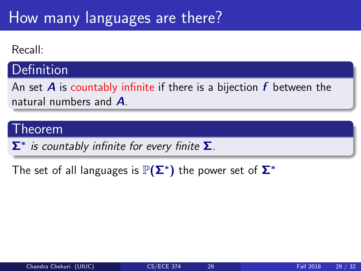#### Recall:

### **Definition**

An set **A** is countably infinite if there is a bijection  $f$  between the natural numbers and A.

### Theorem

 $\mathbf{\Sigma}^{*}$  is countably infinite for every finite  $\mathbf{\Sigma}$ .

The set of all languages is  $\mathbb{P}(\mathsf{\Sigma}^{*})$  the power set of  $\mathsf{\Sigma}^{*}$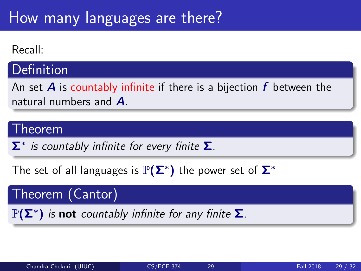#### Recall:

### **Definition**

An set **A** is countably infinite if there is a bijection  $f$  between the natural numbers and **A** 

### Theorem

 $\mathbf{\Sigma}^{*}$  is countably infinite for every finite  $\mathbf{\Sigma}$ .

The set of all languages is  $\mathbb{P}(\mathsf{\Sigma}^{*})$  the power set of  $\mathsf{\Sigma}^{*}$ 

Theorem (Cantor)

 $\mathbb{P}(\mathsf{\Sigma}^*)$  is not countably infinite for any finite  $\mathsf{\Sigma}$ .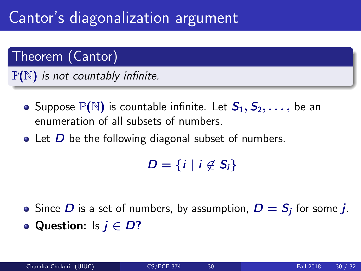## Cantor's diagonalization argument

### Theorem (Cantor)

 $\mathbb{P}(N)$  is not countably infinite.

- Suppose  $\mathbb{P}(\mathbb{N})$  is countable infinite. Let  $S_1, S_2, \ldots$ , be an enumeration of all subsets of numbers.
- $\bullet$  Let  $D$  be the following diagonal subset of numbers.

 $D = \{i \mid i \notin S_i\}$ 

Since  $D$  is a set of numbers, by assumption,  $D = S_j$  for some  $j$ . • Question: Is  $j \in D$ ?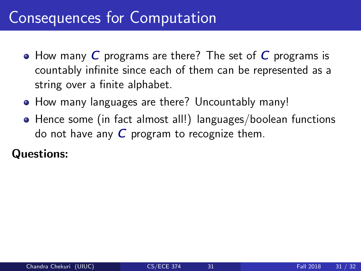## Consequences for Computation

- How many C programs are there? The set of C programs is countably infinite since each of them can be represented as a string over a finite alphabet.
- How many languages are there? Uncountably many!
- Hence some (in fact almost all!) languages/boolean functions do not have any  $C$  program to recognize them.

#### Questions: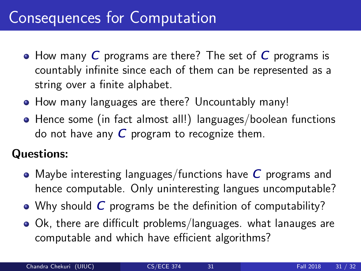## Consequences for Computation

- How many  $C$  programs are there? The set of  $C$  programs is countably infinite since each of them can be represented as a string over a finite alphabet.
- How many languages are there? Uncountably many!
- Hence some (in fact almost all!) languages/boolean functions do not have any  $C$  program to recognize them.

### Questions:

- Maybe interesting languages/functions have  $C$  programs and hence computable. Only uninteresting langues uncomputable?
- Why should C programs be the definition of computability?
- Ok, there are difficult problems/languages. what lanauges are computable and which have efficient algorithms?